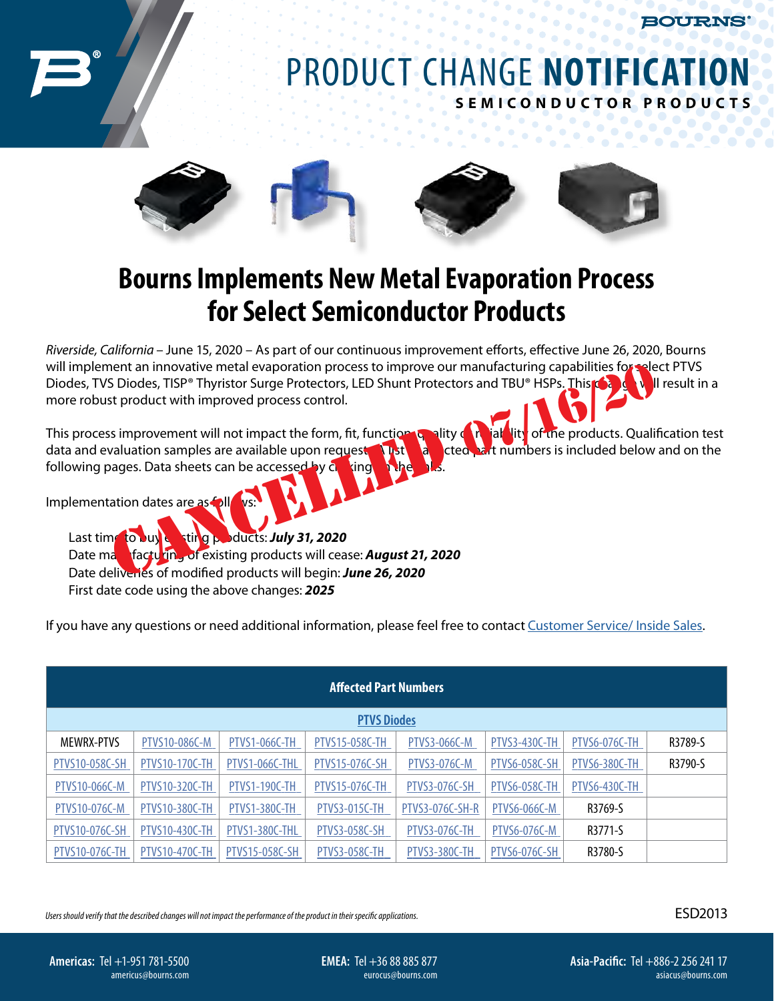**BOURNS** 

## PRODUCT CHANGE **NOTIFICATION SEMI C ONDU C T OR P R O D U C T S**



## **Bourns Implements New Metal Evaporation Process for Select Semiconductor Products**

*Riverside, California* – June 15, 2020 – As part of our continuous improvement efforts, effective June 26, 2020, Bourns will implement an innovative metal evaporation process to improve our manufacturing capabilities for select PTVS Diodes, TVS Diodes, TISP<sup>®</sup> Thyristor Surge Protectors, LED Shunt Protectors and TBU® HSPs. This **change will result in a** more robust product with improved process control.

This process improvement will not impact the form, fit, function, quality or reliability of the products. Qualification test data and evaluation samples are available upon request. A list sale creditation is included below and on the following pages. Data sheets can be accessed by clicking net the internation process to improve our manufacturing capabilities for the S Diodes, TISP® Thyristor Surge Protectors, LED Shunt Protectors and TBU® HSPs. This est product with improved process control.<br>
St product with

Implementation dates are as follows:

Last time to buy exting products: *July 31, 2020* Date manufacturing of existing products will cease: **August 21, 2020** Date deliveries of modified products will begin: *June 26, 2020*  First date code using the above changes: *2025*

If you have any questions or need additional information, please feel free to contact [Customer Service/ Inside Sales.](https://www.bourns.com/support/contact)

| <b>Affected Part Numbers</b> |                       |                      |                       |                      |                      |               |         |  |
|------------------------------|-----------------------|----------------------|-----------------------|----------------------|----------------------|---------------|---------|--|
| <b>PTVS Diodes</b>           |                       |                      |                       |                      |                      |               |         |  |
| <b>MEWRX-PTVS</b>            | PTVS10-086C-M         | <b>PTVS1-066C-TH</b> | <b>PTVS15-058C-TH</b> | <b>PTVS3-066C-M</b>  | <b>PTVS3-430C-TH</b> | PTVS6-076C-TH | R3789-S |  |
| PTVS10-058C-SH               | <b>PTVS10-170C-TH</b> | PTVS1-066C-THL       | PTVS15-076C-SH        | PTVS3-076C-M         | <b>PTVS6-058C-SH</b> | PTVS6-380C-TH | R3790-S |  |
| PTVS10-066C-M                | PTVS10-320C-TH        | <b>PTVS1-190C-TH</b> | <b>PTVS15-076C-TH</b> | <b>PTVS3-076C-SH</b> | <b>PTVS6-058C-TH</b> | PTVS6-430C-TH |         |  |
| PTVS10-076C-M                | <b>PTVS10-380C-TH</b> | PTVS1-380C-TH        | <b>PTVS3-015C-TH</b>  | PTVS3-076C-SH-R      | <b>PTVS6-066C-M</b>  | R3769-S       |         |  |
| PTVS10-076C-SH               | <b>PTVS10-430C-TH</b> | PTVS1-380C-THL       | <b>PTVS3-058C-SH</b>  | <b>PTVS3-076C-TH</b> | <b>PTVS6-076C-M</b>  | R3771-S       |         |  |
| <b>PTVS10-076C-TH</b>        | <b>PTVS10-470C-TH</b> | PTVS15-058C-SH       | <b>PTVS3-058C-TH</b>  | PTVS3-380C-TH        | <b>PTVS6-076C-SH</b> | R3780-S       |         |  |

*Users should verify that the described changes will not impact the performance of the product in their specific applications.*

ESD2013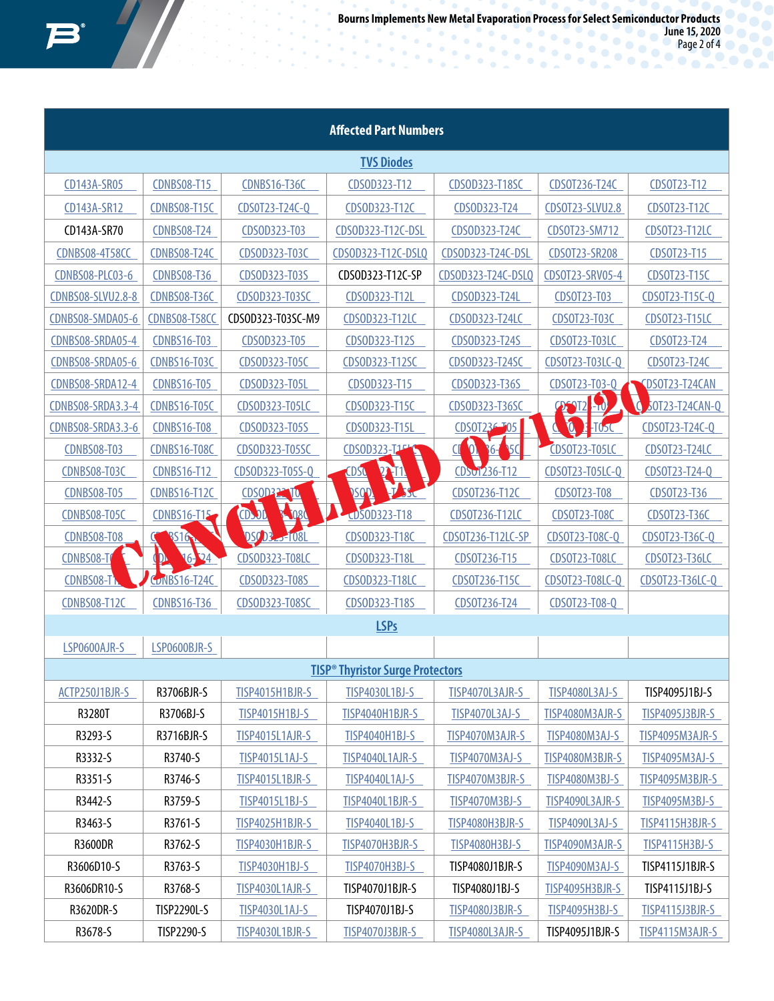$\frac{1}{2}$ 

**June 15, 2020** Page 2 of 4

| <b>Affected Part Numbers</b> |                     |                       |                                                    |                                   |                                |                        |  |  |
|------------------------------|---------------------|-----------------------|----------------------------------------------------|-----------------------------------|--------------------------------|------------------------|--|--|
| <b>TVS Diodes</b>            |                     |                       |                                                    |                                   |                                |                        |  |  |
| CD143A-SR05                  | <b>CDNBS08-T15</b>  | <b>CDNBS16-T36C</b>   | CDS0D323-T12                                       | CDS0D323-T18SC                    | CDS0T236-T24C                  | CDS0T23-T12            |  |  |
| CD143A-SR12                  | <b>CDNBS08-T15C</b> | CDS0T23-T24C-Q        | CDS0D323-T12C                                      | CDS0D323-T24                      | CDS0T23-SLVU2.8                | CDS0T23-T12C           |  |  |
| CD143A-SR70                  | <b>CDNBS08-T24</b>  | CDS0D323-T03          | CDS0D323-T12C-DSL                                  | CDS0D323-T24C                     | CDS0T23-SM712                  | CDS0T23-T12LC          |  |  |
| <b>CDNBS08-4T58CC</b>        | <b>CDNBS08-T24C</b> | CDS0D323-T03C         | CDS0D323-T12C-DSLQ                                 | CDS0D323-T24C-DSL                 | CDS0T23-SR208                  | CDS0T23-T15            |  |  |
| CDNBS08-PLC03-6              | <b>CDNBS08-T36</b>  | CDSOD323-T03S         | CDSOD323-T12C-SP                                   | CDS0D323-T24C-DSLQ                | CDS0T23-SRV05-4                | CDS0T23-T15C           |  |  |
| <b>CDNBS08-SLVU2.8-8</b>     | <b>CDNBS08-T36C</b> | CDS0D323-T03SC        | CDS0D323-T12L                                      | CDS0D323-T24L                     | CDS0T23-T03                    | CDS0T23-T15C-Q         |  |  |
| CDNBS08-SMDA05-6             | CDNBS08-T58CC       | CDSOD323-T03SC-M9     | CDS0D323-T12LC                                     | CDS0D323-T24LC                    | CDS0T23-T03C                   | <b>CDSOT23-T15LC</b>   |  |  |
| CDNBS08-SRDA05-4             | <b>CDNBS16-T03</b>  | CDS0D323-T05          | CDS0D323-T12S                                      | CDS0D323-T24S                     | CDS0T23-T03LC                  | CDS0T23-T24            |  |  |
| CDNBS08-SRDA05-6             | <b>CDNBS16-T03C</b> | CDSOD323-T05C         | CDSOD323-T12SC                                     | CDS0D323-T24SC                    | CDS0T23-T03LC-Q                | CDS0T23-T24C           |  |  |
| CDNBS08-SRDA12-4             | <b>CDNBS16-T05</b>  | CDS0D323-T05L         | CDS0D323-T15                                       | CDSOD323-T36S                     | CDS0T23-T03-Q                  | <b>CDSOT23-T24CAN</b>  |  |  |
| <b>CDNBS08-SRDA3.3-4</b>     | <b>CDNBS16-T05C</b> | <b>CDSOD323-T05LC</b> | CDS0D323-T15C                                      | CDS0D323-T36SC                    | <b>PENIZ - 10</b>              | O<br>30T23-T24CAN-Q    |  |  |
| <b>CDNBS08-SRDA3.3-6</b>     | <b>CDNBS16-T08</b>  | CDSOD323-T05S         | CDS0D323-T15L                                      | CDS0T236 T05                      | $\boldsymbol{\rho}$<br>$-105C$ | CDS0T23-T24C-Q         |  |  |
| <b>CDNBS08-T03</b>           | <b>CDNBS16-T08C</b> | CDS0D323-T05SC        | CDS0D323-T1540                                     | $\bar{\bm{\theta}}$<br>5C<br>$6-$ | <b>CDSOT23-T05LC</b>           | <b>CDSOT23-T24LC</b>   |  |  |
| CDNBS08-T03C                 | <b>CDNBS16-T12</b>  | CDSOD323-T05S-Q       | <b>CDSC</b><br>$27 - 11$                           | CDSv1236-T12                      | CDS0T23-T05LC-Q                | CDS0T23-T24-Q          |  |  |
| <b>CDNBS08-T05</b>           | <b>CDNBS16-T12C</b> | CDSOD222 TO           | <b>DSOD</b><br>$-1.55c$                            | CDS0T236-T12C                     | CDS0T23-T08                    | CDS0T23-T36            |  |  |
| CDNBS08-T05C                 | CDNBS16-T15         | 3024<br><b>ODJL</b>   | CDS0D323-T18                                       | CDS0T236-T12LC                    | <b>CDSOT23-T08C</b>            | CDS0T23-T36C           |  |  |
| <b>CDNBS08-T08</b>           | <b>RS16</b>         | <b>DSC DR 2-1081</b>  | CDS0D323-T18C                                      | CDS0T236-T12LC-SP                 | CDSOT23-T08C-Q                 | CDS0T23-T36C-Q         |  |  |
| CDNBS08-T                    | 24<br>$16-$         | CDS0D323-T08LC        | CDS0D323-T18L                                      | CDS0T236-T15                      | <b>CDSOT23-T08LC</b>           | <b>CDSOT23-T36LC</b>   |  |  |
| CDNBS08-T1                   | <b>CONBS16-T24C</b> | CDSOD323-T08S         | CDSOD323-T18LC                                     | CDS0T236-T15C                     | CDS0T23-T08LC-Q                | CDSOT23-T36LC-Q        |  |  |
| <b>CDNBS08-T12C</b>          | <b>CDNBS16-T36</b>  | CDSOD323-T08SC        | CDS0D323-T18S                                      | CDS0T236-T24                      | CDS0T23-T08-Q                  |                        |  |  |
| <b>LSPs</b>                  |                     |                       |                                                    |                                   |                                |                        |  |  |
| LSP0600AJR-S                 | LSP0600BJR-S        |                       |                                                    |                                   |                                |                        |  |  |
|                              |                     |                       | <b>TISP<sup>®</sup> Thyristor Surge Protectors</b> |                                   |                                |                        |  |  |
| ACTP250J1BJR-S               | R3706BJR-S          | TISP4015H1BJR-S       | TISP4030L1BJ-S                                     | TISP4070L3AJR-S                   | <b>TISP4080L3AJ-S</b>          | TISP4095J1BJ-S         |  |  |
| R3280T                       | R3706BJ-S           | <b>TISP4015H1BJ-S</b> | TISP4040H1BJR-S                                    | <b>TISP4070L3AJ-S</b>             | TISP4080M3AJR-S                | <b>TISP4095J3BJR-S</b> |  |  |
| R3293-S                      | R3716BJR-S          | TISP4015L1AJR-S       | TISP4040H1BJ-S                                     | TISP4070M3AJR-S                   | TISP4080M3AJ-S                 | TISP4095M3AJR-S        |  |  |
| R3332-S                      | R3740-S             | <b>TISP4015L1AJ-S</b> | TISP4040L1AJR-S                                    | TISP4070M3AJ-S                    | TISP4080M3BJR-S                | TISP4095M3AJ-S         |  |  |
| R3351-S                      | R3746-S             | TISP4015L1BJR-S       | TISP4040L1AJ-S                                     | TISP4070M3BJR-S                   | <b>TISP4080M3BJ-S</b>          | TISP4095M3BJR-S        |  |  |
| R3442-S                      | R3759-S             | TISP4015L1BJ-S        | TISP4040L1BJR-S                                    | TISP4070M3BJ-S                    | TISP4090L3AJR-S                | <b>TISP4095M3BJ-S</b>  |  |  |
| R3463-S                      | R3761-S             | TISP4025H1BJR-S       | <b>TISP4040L1BJ-S</b>                              | TISP4080H3BJR-S                   | TISP4090L3AJ-S                 | TISP4115H3BJR-S        |  |  |
| <b>R3600DR</b>               | R3762-S             | TISP4030H1BJR-S       | TISP4070H3BJR-S                                    | <b>TISP4080H3BJ-S</b>             | TISP4090M3AJR-S                | <b>TISP4115H3BJ-S</b>  |  |  |
| R3606D10-S                   | R3763-S             | <b>TISP4030H1BJ-S</b> | TISP4070H3BJ-S                                     | TISP4080J1BJR-S                   | TISP4090M3AJ-S                 | TISP4115J1BJR-S        |  |  |
| R3606DR10-S                  | R3768-S             | TISP4030L1AJR-S       | TISP4070J1BJR-S                                    | TISP4080J1BJ-S                    | TISP4095H3BJR-S                | TISP4115J1BJ-S         |  |  |
| R3620DR-S                    | TISP2290L-S         | <b>TISP4030L1AJ-S</b> | TISP4070J1BJ-S                                     | <b>TISP4080J3BJR-S</b>            | <b>TISP4095H3BJ-S</b>          | <b>TISP4115J3BJR-S</b> |  |  |
| R3678-S                      | TISP2290-S          | TISP4030L1BJR-S       | TISP4070J3BJR-S                                    | TISP4080L3AJR-S                   | TISP4095J1BJR-S                | TISP4115M3AJR-S        |  |  |

 $\ddot{\circ}$ 

 $\mathcal{L}_{\text{eff}}$ ò.  $\epsilon$  $\overline{\phantom{a}}$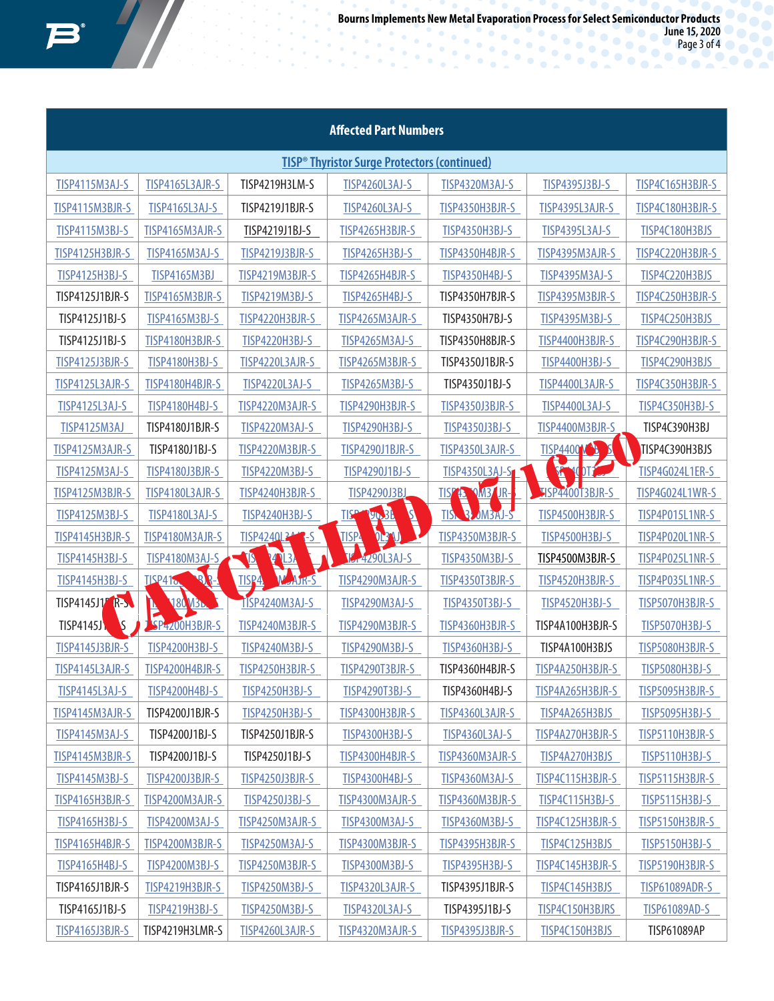**June 15, 2020** Page 3 of 4

| <b>Affected Part Numbers</b>                                   |                                |                         |                                   |                                |                       |                        |  |
|----------------------------------------------------------------|--------------------------------|-------------------------|-----------------------------------|--------------------------------|-----------------------|------------------------|--|
| <b>TISP<sup>®</sup> Thyristor Surge Protectors (continued)</b> |                                |                         |                                   |                                |                       |                        |  |
| <b>TISP4115M3AJ-S</b>                                          | TISP4165L3AJR-S                | TISP4219H3LM-S          | <b>TISP4260L3AJ-S</b>             | <b>TISP4320M3AJ-S</b>          | TISP4395J3BJ-S        | TISP4C165H3BJR-S       |  |
| TISP4115M3BJR-S                                                | <b>TISP4165L3AJ-S</b>          | TISP4219J1BJR-S         | <b>TISP4260L3AJ-S</b>             | TISP4350H3BJR-S                | TISP4395L3AJR-S       | TISP4C180H3BJR-S       |  |
| <b>TISP4115M3BJ-S</b>                                          | TISP4165M3AJR-S                | TISP4219J1BJ-S          | TISP4265H3BJR-S                   | <b>TISP4350H3BJ-S</b>          | <b>TISP4395L3AJ-S</b> | TISP4C180H3BJS         |  |
| TISP4125H3BJR-S                                                | <b>TISP4165M3AJ-S</b>          | <b>TISP4219J3BJR-S</b>  | <b>TISP4265H3BJ-S</b>             | TISP4350H4BJR-S                | TISP4395M3AJR-S       | TISP4C220H3BJR-S       |  |
| <b>TISP4125H3BJ-S</b>                                          | <b>TISP4165M3BJ</b>            | TISP4219M3BJR-S         | TISP4265H4BJR-S                   | <b>TISP4350H4BJ-S</b>          | <b>TISP4395M3AJ-S</b> | TISP4C220H3BJS         |  |
| TISP4125J1BJR-S                                                | TISP4165M3BJR-S                | <b>TISP4219M3BJ-S</b>   | <b>TISP4265H4BJ-S</b>             | TISP4350H7BJR-S                | TISP4395M3BJR-S       | TISP4C250H3BJR-S       |  |
| TISP4125J1BJ-S                                                 | <b>TISP4165M3BJ-S</b>          | TISP4220H3BJR-S         | TISP4265M3AJR-S                   | TISP4350H7BJ-S                 | <b>TISP4395M3BJ-S</b> | TISP4C250H3BJS         |  |
| TISP4125J1BJ-S                                                 | TISP4180H3BJR-S                | <b>TISP4220H3BJ-S</b>   | <b>TISP4265M3AJ-S</b>             | TISP4350H8BJR-S                | TISP4400H3BJR-S       | TISP4C290H3BJR-S       |  |
| <b>TISP4125J3BJR-S</b>                                         | <b>TISP4180H3BJ-S</b>          | TISP4220L3AJR-S         | TISP4265M3BJR-S                   | TISP4350J1BJR-S                | <b>TISP4400H3BJ-S</b> | TISP4C290H3BJS         |  |
| TISP4125L3AJR-S                                                | TISP4180H4BJR-S                | <b>TISP4220L3AJ-S</b>   | <b>TISP4265M3BJ-S</b>             | TISP4350J1BJ-S                 | TISP4400L3AJR-S       | TISP4C350H3BJR-S       |  |
| <b>TISP4125L3AJ-S</b>                                          | <b>TISP4180H4BJ-S</b>          | TISP4220M3AJR-S         | TISP4290H3BJR-S                   | <b>TISP4350J3BJR-S</b>         | <b>TISP4400L3AJ-S</b> | <b>TISP4C350H3BJ-S</b> |  |
| <b>TISP4125M3AJ</b>                                            | TISP4180J1BJR-S                | <b>TISP4220M3AJ-S</b>   | <b>TISP4290H3BJ-S</b>             | TISP4350J3BJ-S                 | TISP4400M3BJR-S       | TISP4C390H3BJ          |  |
| TISP4125M3AJR-S                                                | TISP4180J1BJ-S                 | TISP4220M3BJR-S         | <b>TISP4290J1BJR-S</b>            | TISP4350L3AJR-S                | <b>TISP4400W</b><br>2 | TISP4C390H3BJS         |  |
| <b>TISP4125M3AJ-S</b>                                          | <b>TISP4180J3BJR-S</b>         | <b>TISP4220M3BJ-S</b>   | TISP4290J1BJ-S                    | TISP4350L3AJ-S                 | Ã<br>DT <sub>2</sub>  | <b>TISP4G024L1ER-S</b> |  |
| TISP4125M3BJR-S                                                | TISP4180L3AJR-S                | TISP4240H3BJR-S         | <b>TISP4290J3BJ</b>               | <b>IISY'L VMB UR-</b>          | HSP4400T3BJR-S        | <b>TISP4G024L1WR-S</b> |  |
| <b>TISP4125M3BJ-S</b>                                          | <b>TISP4180L3AJ-S</b>          | <b>TISP4240H3BJ-S</b>   | Á<br><b>TISP</b><br><b>YO. 36</b> | <b>B. MBAJ-S</b><br><b>TIS</b> | TISP4500H3BJR-S       | TISP4P015L1NR-S        |  |
| TISP4145H3BJR-S                                                | TISP4180M3AJR-S                | TISP4240L344<br>$\sim$  | <b>TISPA</b><br><b>JRA</b>        | TISP4350M3BJR-S                | <b>TISP4500H3BJ-S</b> | TISP4P020L1NR-S        |  |
| <b>TISP4145H3BJ-S</b>                                          | <b>TISP4180M3AJ-S</b>          | ŊД<br><b>PARTIES</b>    | <b>12-4290L3AJ-S</b>              | <b>TISP4350M3BJ-S</b>          | TISP4500M3BJR-S       | TISP4P025L1NR-S        |  |
| <b>TISP4145H3BJ-S</b>                                          | $\mathbb{R}$<br><b>TISP41.</b> | <b>TISP4</b><br>W AJR-S | TISP4290M3AJR-S                   | <b>TISP4350T3BJR-S</b>         | TISP4520H3BJR-S       | TISP4P035L1NR-S        |  |
| TISP4145J17 R-S                                                | <b>180 132.</b>                | TISP4240M3AJ-S          | <b>TISP4290M3AJ-S</b>             | <b>TISP4350T3BJ-S</b>          | <b>TISP4520H3BJ-S</b> | TISP5070H3BJR-S        |  |
| <b>TISP4145J\</b><br><b>S</b>                                  | SP4200H3BJR-S                  | TISP4240M3BJR-S         | TISP4290M3BJR-S                   | TISP4360H3BJR-S                | TISP4A100H3BJR-S      | <b>TISP5070H3BJ-S</b>  |  |
| <b>TISP4145J3BJR-S</b>                                         | <b>TISP4200H3BJ-S</b>          | <b>TISP4240M3BJ-S</b>   | TISP4290M3BJ-S                    | <b>TISP4360H3BJ-S</b>          | TISP4A100H3BJS        | TISP5080H3BJR-S        |  |
| TISP4145L3AJR-S                                                | TISP4200H4BJR-S                | TISP4250H3BJR-S         | TISP4290T3BJR-S                   | TISP4360H4BJR-S                | TISP4A250H3BJR-S      | <b>TISP5080H3BJ-S</b>  |  |
| TISP4145L3AJ-S                                                 | TISP4200H4BJ-S                 | <b>TISP4250H3BJ-S</b>   | TISP4290T3BJ-S                    | TISP4360H4BJ-S                 | TISP4A265H3BJR-S      | TISP5095H3BJR-S        |  |
| TISP4145M3AJR-S                                                | TISP4200J1BJR-S                | <b>TISP4250H3BJ-S</b>   | TISP4300H3BJR-S                   | TISP4360L3AJR-S                | TISP4A265H3BJS        | <b>TISP5095H3BJ-S</b>  |  |
| <b>TISP4145M3AJ-S</b>                                          | TISP4200J1BJ-S                 | TISP4250J1BJR-S         | <b>TISP4300H3BJ-S</b>             | TISP4360L3AJ-S                 | TISP4A270H3BJR-S      | TISP5110H3BJR-S        |  |
| TISP4145M3BJR-S                                                | TISP4200J1BJ-S                 | TISP4250J1BJ-S          | TISP4300H4BJR-S                   | TISP4360M3AJR-S                | TISP4A270H3BJS        | <b>TISP5110H3BJ-S</b>  |  |
| <b>TISP4145M3BJ-S</b>                                          | <b>TISP4200J3BJR-S</b>         | <b>TISP4250J3BJR-S</b>  | <b>TISP4300H4BJ-S</b>             | <b>TISP4360M3AJ-S</b>          | TISP4C115H3BJR-S      | TISP5115H3BJR-S        |  |
| TISP4165H3BJR-S                                                | TISP4200M3AJR-S                | TISP4250J3BJ-S          | TISP4300M3AJR-S                   | TISP4360M3BJR-S                | TISP4C115H3BJ-S       | <b>TISP5115H3BJ-S</b>  |  |
| <b>TISP4165H3BJ-S</b>                                          | <b>TISP4200M3AJ-S</b>          | TISP4250M3AJR-S         | TISP4300M3AJ-S                    | <b>TISP4360M3BJ-S</b>          | TISP4C125H3BJR-S      | TISP5150H3BJR-S        |  |
| TISP4165H4BJR-S                                                | TISP4200M3BJR-S                | TISP4250M3AJ-S          | TISP4300M3BJR-S                   | TISP4395H3BJR-S                | TISP4C125H3BJS        | <b>TISP5150H3BJ-S</b>  |  |
| <b>TISP4165H4BJ-S</b>                                          | TISP4200M3BJ-S                 | TISP4250M3BJR-S         | TISP4300M3BJ-S                    | TISP4395H3BJ-S                 | TISP4C145H3BJR-S      | TISP5190H3BJR-S        |  |
| TISP4165J1BJR-S                                                | TISP4219H3BJR-S                | <b>TISP4250M3BJ-S</b>   | TISP4320L3AJR-S                   | TISP4395J1BJR-S                | TISP4C145H3BJS        | <b>TISP61089ADR-S</b>  |  |
| TISP4165J1BJ-S                                                 | <b>TISP4219H3BJ-S</b>          | <b>TISP4250M3BJ-S</b>   | <b>TISP4320L3AJ-S</b>             | TISP4395J1BJ-S                 | TISP4C150H3BJRS       | <b>TISP61089AD-S</b>   |  |
| <b>TISP4165J3BJR-S</b>                                         | TISP4219H3LMR-S                | TISP4260L3AJR-S         | TISP4320M3AJR-S                   | <b>TISP4395J3BJR-S</b>         | TISP4C150H3BJS        | <b>TISP61089AP</b>     |  |

 $\hat{\bullet}$